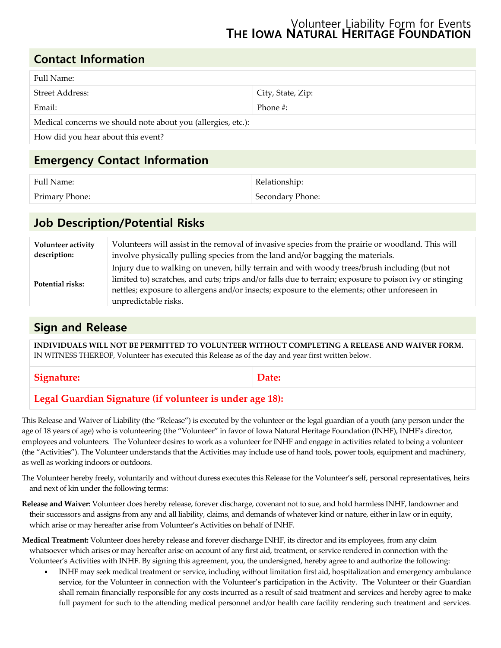#### Volunteer Liability Form for Events **THE IOWA NATURAL HERITAGE FOUNDATION**

# **Contact Information**

| Full Name:                                                   |                   |
|--------------------------------------------------------------|-------------------|
| Street Address:                                              | City, State, Zip: |
| Email:                                                       | Phone #:          |
| Medical concerns we should note about you (allergies, etc.): |                   |
| How did you hear about this event?                           |                   |

# **Emergency Contact Information**

| Full Name:     | Relationship:    |
|----------------|------------------|
| Primary Phone: | Secondary Phone: |

# **Job Description/Potential Risks**

| Volunteer activity | Volunteers will assist in the removal of invasive species from the prairie or woodland. This will                                                                                                                                                                                                                              |
|--------------------|--------------------------------------------------------------------------------------------------------------------------------------------------------------------------------------------------------------------------------------------------------------------------------------------------------------------------------|
| description:       | involve physically pulling species from the land and/or bagging the materials.                                                                                                                                                                                                                                                 |
| Potential risks:   | Injury due to walking on uneven, hilly terrain and with woody trees/brush including (but not<br>limited to) scratches, and cuts; trips and/or falls due to terrain; exposure to poison ivy or stinging<br>nettles; exposure to allergens and/or insects; exposure to the elements; other unforeseen in<br>unpredictable risks. |

### **Sign and Release**

**INDIVIDUALS WILL NOT BE PERMITTED TO VOLUNTEER WITHOUT COMPLETING A RELEASE AND WAIVER FORM.** IN WITNESS THEREOF, Volunteer has executed this Release as of the day and year first written below.

Signature: **Date:** Date:

### **Legal Guardian Signature (if volunteer is under age 18):**

This Release and Waiver of Liability (the "Release") is executed by the volunteer or the legal guardian of a youth (any person under the age of 18 years of age) who is volunteering (the "Volunteer" in favor of Iowa Natural Heritage Foundation (INHF), INHF's director, employees and volunteers. The Volunteer desires to work as a volunteer for INHF and engage in activities related to being a volunteer (the "Activities"). The Volunteer understands that the Activities may include use of hand tools, power tools, equipment and machinery, as well as working indoors or outdoors.

- The Volunteer hereby freely, voluntarily and without duress executes this Release for the Volunteer's self, personal representatives, heirs and next of kin under the following terms:
- **Release and Waiver:** Volunteer does hereby release, forever discharge, covenant not to sue, and hold harmless INHF, landowner and their successors and assigns from any and all liability, claims, and demands of whatever kind or nature, either in law or in equity, which arise or may hereafter arise from Volunteer's Activities on behalf of INHF.
- **Medical Treatment:** Volunteer does hereby release and forever discharge INHF, its director and its employees, from any claim whatsoever which arises or may hereafter arise on account of any first aid, treatment, or service rendered in connection with the Volunteer's Activities with INHF. By signing this agreement, you, the undersigned, hereby agree to and authorize the following:
	- INHF may seek medical treatment or service, including without limitation first aid, hospitalization and emergency ambulance service, for the Volunteer in connection with the Volunteer's participation in the Activity. The Volunteer or their Guardian shall remain financially responsible for any costs incurred as a result of said treatment and services and hereby agree to make full payment for such to the attending medical personnel and/or health care facility rendering such treatment and services.